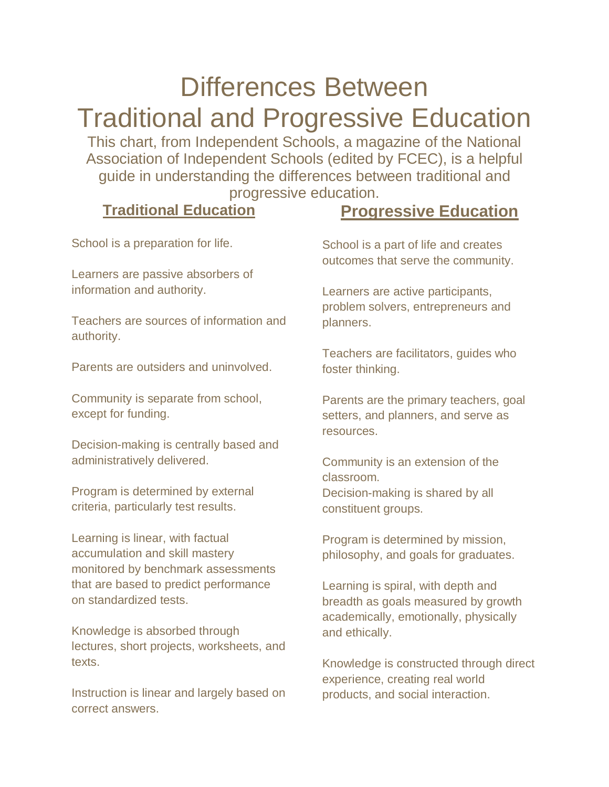## Differences Between Traditional and Progressive Education

This chart, from Independent Schools, a magazine of the National Association of Independent Schools (edited by FCEC), is a helpful guide in understanding the differences between traditional and progressive education.

## **Traditional Education**

## **Progressive Education**

School is a preparation for life.

Learners are passive absorbers of information and authority.

Teachers are sources of information and authority.

Parents are outsiders and uninvolved.

Community is separate from school, except for funding.

Decision-making is centrally based and administratively delivered.

Program is determined by external criteria, particularly test results.

Learning is linear, with factual accumulation and skill mastery monitored by benchmark assessments that are based to predict performance on standardized tests.

Knowledge is absorbed through lectures, short projects, worksheets, and texts.

Instruction is linear and largely based on correct answers.

School is a part of life and creates outcomes that serve the community.

Learners are active participants, problem solvers, entrepreneurs and planners.

Teachers are facilitators, guides who foster thinking.

Parents are the primary teachers, goal setters, and planners, and serve as resources.

Community is an extension of the classroom. Decision-making is shared by all constituent groups.

Program is determined by mission, philosophy, and goals for graduates.

Learning is spiral, with depth and breadth as goals measured by growth academically, emotionally, physically and ethically.

Knowledge is constructed through direct experience, creating real world products, and social interaction.